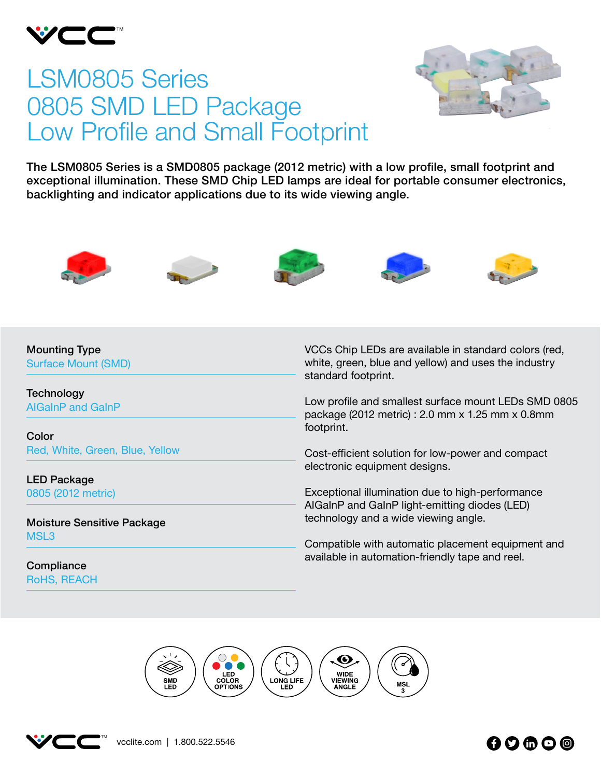

# LSM0805 Series 0805 SMD LED Package Low Profile and Small Footprint



The LSM0805 Series is a SMD0805 package (2012 metric) with a low profile, small footprint and exceptional illumination. These SMD Chip LED lamps are ideal for portable consumer electronics, backlighting and indicator applications due to its wide viewing angle.











Mounting Type Surface Mount (SMD)

**Technology** AIGaInP and GaInP

Color Red, White, Green, Blue, Yellow

LED Package 0805 (2012 metric)

Moisture Sensitive Package MSL3

**Compliance** RoHS, REACH VCCs Chip LEDs are available in standard colors (red, white, green, blue and yellow) and uses the industry standard footprint.

Low profile and smallest surface mount LEDs SMD 0805 package (2012 metric) : 2.0 mm x 1.25 mm x 0.8mm footprint.

Cost-efficient solution for low-power and compact electronic equipment designs.

Exceptional illumination due to high-performance AIGaInP and GaInP light-emitting diodes (LED) technology and a wide viewing angle.

Compatible with automatic placement equipment and available in automation-friendly tape and reel.